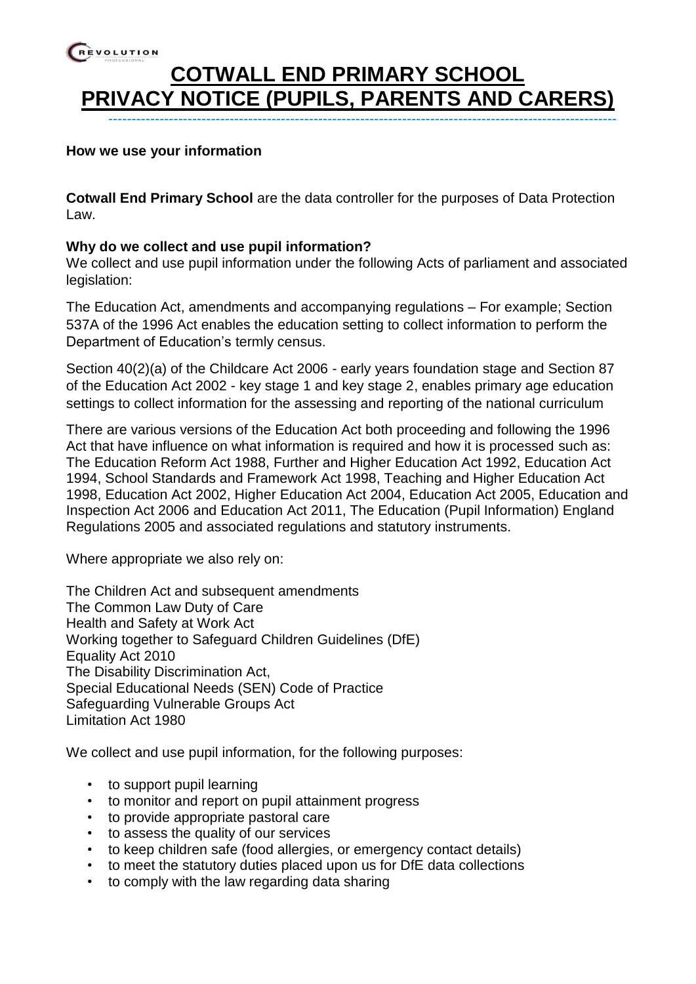## REVOLUTION **COTWALL END PRIMARY SCHOOL PRIVACY NOTICE (PUPILS, PARENTS AND CARERS)** -------------------------------------------------------------------------------------------------------------

#### **How we use your information**

**Cotwall End Primary School** are the data controller for the purposes of Data Protection Law.

#### **Why do we collect and use pupil information?**

We collect and use pupil information under the following Acts of parliament and associated legislation:

The Education Act, amendments and accompanying regulations – For example; Section 537A of the 1996 Act enables the education setting to collect information to perform the Department of Education's termly census.

Section 40(2)(a) of the Childcare Act 2006 - early years foundation stage and Section 87 of the Education Act 2002 - key stage 1 and key stage 2, enables primary age education settings to collect information for the assessing and reporting of the national curriculum

There are various versions of the Education Act both proceeding and following the 1996 Act that have influence on what information is required and how it is processed such as: The Education Reform Act 1988, Further and Higher Education Act 1992, Education Act 1994, School Standards and Framework Act 1998, Teaching and Higher Education Act 1998, Education Act 2002, Higher Education Act 2004, Education Act 2005, Education and Inspection Act 2006 and Education Act 2011, The Education (Pupil Information) England Regulations 2005 and associated regulations and statutory instruments.

Where appropriate we also rely on:

The Children Act and subsequent amendments The Common Law Duty of Care Health and Safety at Work Act Working together to Safeguard Children Guidelines (DfE) Equality Act 2010 The Disability Discrimination Act, Special Educational Needs (SEN) Code of Practice Safeguarding Vulnerable Groups Act Limitation Act 1980

We collect and use pupil information, for the following purposes:

- to support pupil learning
- to monitor and report on pupil attainment progress
- to provide appropriate pastoral care
- to assess the quality of our services
- to keep children safe (food allergies, or emergency contact details)
- to meet the statutory duties placed upon us for DfE data collections
- to comply with the law regarding data sharing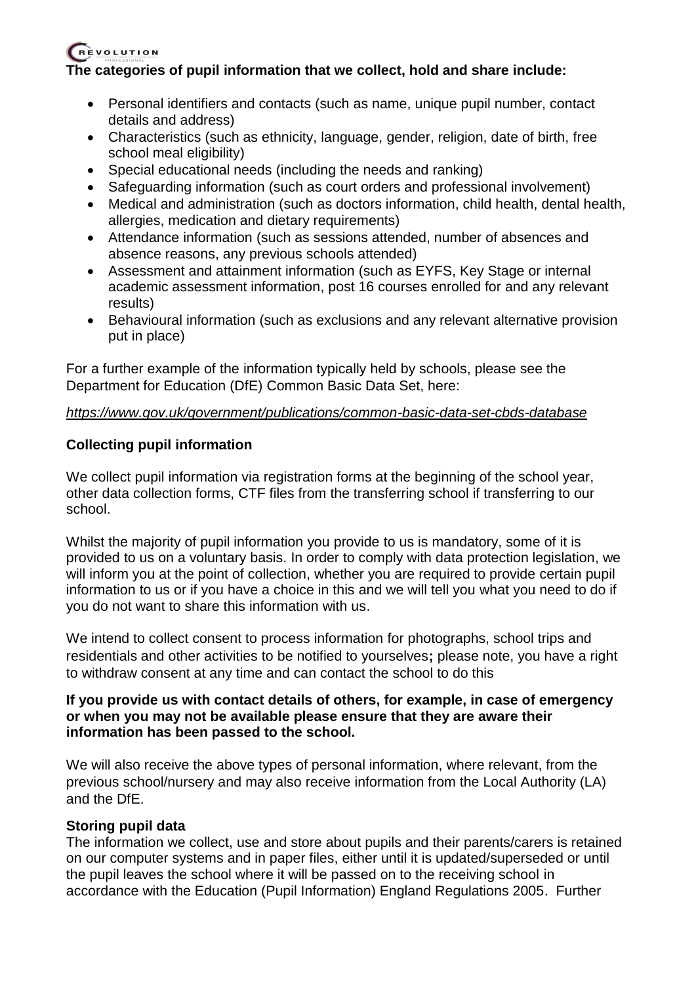### **The categories of pupil information that we collect, hold and share include:**

- Personal identifiers and contacts (such as name, unique pupil number, contact details and address)
- Characteristics (such as ethnicity, language, gender, religion, date of birth, free school meal eligibility)
- Special educational needs (including the needs and ranking)
- Safeguarding information (such as court orders and professional involvement)
- Medical and administration (such as doctors information, child health, dental health, allergies, medication and dietary requirements)
- Attendance information (such as sessions attended, number of absences and absence reasons, any previous schools attended)
- Assessment and attainment information (such as EYFS, Key Stage or internal academic assessment information, post 16 courses enrolled for and any relevant results)
- Behavioural information (such as exclusions and any relevant alternative provision put in place)

For a further example of the information typically held by schools, please see the Department for Education (DfE) Common Basic Data Set, here:

### *<https://www.gov.uk/government/publications/common-basic-data-set-cbds-database>*

### **Collecting pupil information**

We collect pupil information via registration forms at the beginning of the school year, other data collection forms, CTF files from the transferring school if transferring to our school.

Whilst the majority of pupil information you provide to us is mandatory, some of it is provided to us on a voluntary basis. In order to comply with data protection legislation, we will inform you at the point of collection, whether you are required to provide certain pupil information to us or if you have a choice in this and we will tell you what you need to do if you do not want to share this information with us.

We intend to collect consent to process information for photographs, school trips and residentials and other activities to be notified to yourselves**;** please note, you have a right to withdraw consent at any time and can contact the school to do this

#### **If you provide us with contact details of others, for example, in case of emergency or when you may not be available please ensure that they are aware their information has been passed to the school.**

We will also receive the above types of personal information, where relevant, from the previous school/nursery and may also receive information from the Local Authority (LA) and the DfE.

### **Storing pupil data**

The information we collect, use and store about pupils and their parents/carers is retained on our computer systems and in paper files, either until it is updated/superseded or until the pupil leaves the school where it will be passed on to the receiving school in accordance with the Education (Pupil Information) England Regulations 2005. Further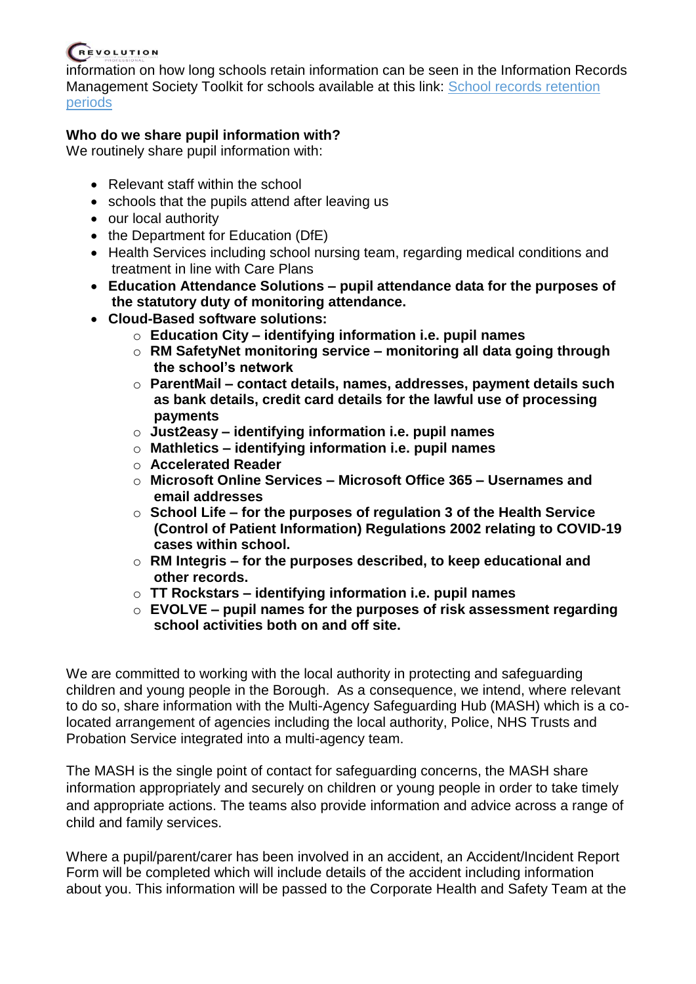information on how long schools retain information can be seen in the Information Records Management Society Toolkit for schools available at this link: [School records retention](https://irms.org.uk/page/SchoolsToolkit)  [periods](https://irms.org.uk/page/SchoolsToolkit)

### **Who do we share pupil information with?**

We routinely share pupil information with:

- Relevant staff within the school
- schools that the pupils attend after leaving us
- our local authority
- the Department for Education (DfE)
- Health Services including school nursing team, regarding medical conditions and treatment in line with Care Plans
- **Education Attendance Solutions – pupil attendance data for the purposes of the statutory duty of monitoring attendance.**
- **Cloud-Based software solutions:**
	- o **Education City – identifying information i.e. pupil names**
	- o **RM SafetyNet monitoring service – monitoring all data going through the school's network**
	- o **ParentMail – contact details, names, addresses, payment details such as bank details, credit card details for the lawful use of processing payments**
	- o **Just2easy – identifying information i.e. pupil names**
	- o **Mathletics – identifying information i.e. pupil names**
	- o **Accelerated Reader**
	- o **Microsoft Online Services – Microsoft Office 365 – Usernames and email addresses**
	- o **School Life – for the purposes of regulation 3 of the Health Service (Control of Patient Information) Regulations 2002 relating to COVID-19 cases within school.**
	- o **RM Integris – for the purposes described, to keep educational and other records.**
	- o **TT Rockstars – identifying information i.e. pupil names**
	- o **EVOLVE – pupil names for the purposes of risk assessment regarding school activities both on and off site.**

We are committed to working with the local authority in protecting and safeguarding children and young people in the Borough. As a consequence, we intend, where relevant to do so, share information with the Multi-Agency Safeguarding Hub (MASH) which is a colocated arrangement of agencies including the local authority, Police, NHS Trusts and Probation Service integrated into a multi-agency team.

The MASH is the single point of contact for safeguarding concerns, the MASH share information appropriately and securely on children or young people in order to take timely and appropriate actions. The teams also provide information and advice across a range of child and family services.

Where a pupil/parent/carer has been involved in an accident, an Accident/Incident Report Form will be completed which will include details of the accident including information about you. This information will be passed to the Corporate Health and Safety Team at the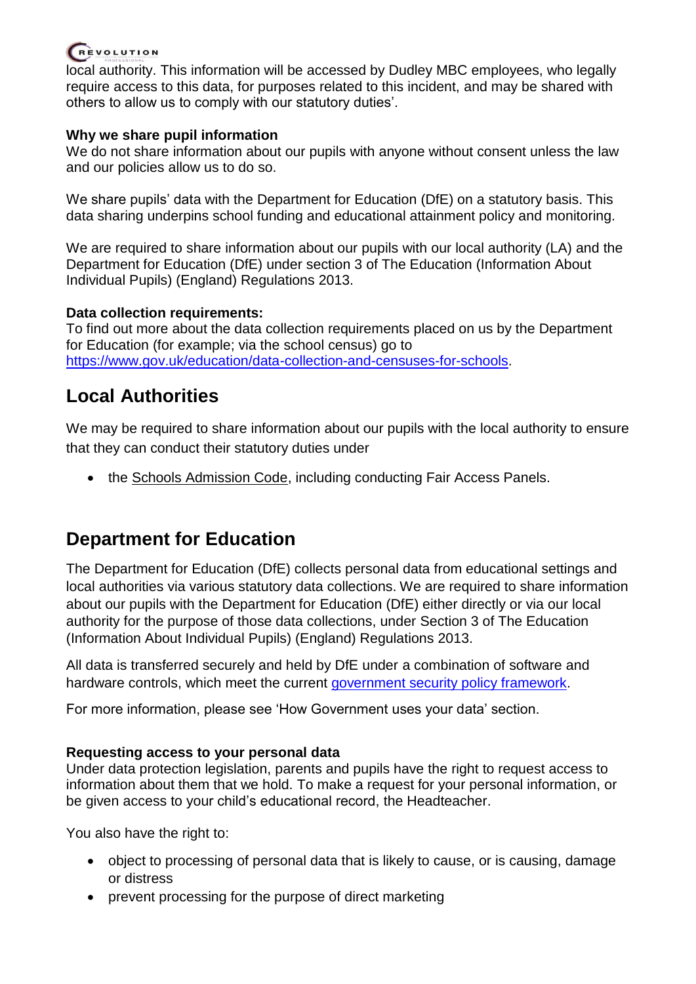

local authority. This information will be accessed by Dudley MBC employees, who legally require access to this data, for purposes related to this incident, and may be shared with others to allow us to comply with our statutory duties'.

### **Why we share pupil information**

We do not share information about our pupils with anyone without consent unless the law and our policies allow us to do so.

We share pupils' data with the Department for Education (DfE) on a statutory basis. This data sharing underpins school funding and educational attainment policy and monitoring.

We are required to share information about our pupils with our local authority (LA) and the Department for Education (DfE) under section 3 of The Education (Information About Individual Pupils) (England) Regulations 2013.

### **Data collection requirements:**

To find out more about the data collection requirements placed on us by the Department for Education (for example; via the school census) go to [https://www.gov.uk/education/data-collection-and-censuses-for-schools.](https://www.gov.uk/education/data-collection-and-censuses-for-schools)

# **Local Authorities**

We may be required to share information about our pupils with the local authority to ensure that they can conduct their statutory duties under

• the [Schools Admission Code,](https://www.gov.uk/government/publications/school-admissions-code--2) including conducting Fair Access Panels.

# **Department for Education**

The Department for Education (DfE) collects personal data from educational settings and local authorities via various statutory data collections. We are required to share information about our pupils with the Department for Education (DfE) either directly or via our local authority for the purpose of those data collections, under Section 3 of The Education (Information About Individual Pupils) (England) Regulations 2013.

All data is transferred securely and held by DfE under a combination of software and hardware controls, which meet the current [government security policy framework.](https://www.gov.uk/government/publications/security-policy-framework)

For more information, please see 'How Government uses your data' section.

### **Requesting access to your personal data**

Under data protection legislation, parents and pupils have the right to request access to information about them that we hold. To make a request for your personal information, or be given access to your child's educational record, the Headteacher.

You also have the right to:

- object to processing of personal data that is likely to cause, or is causing, damage or distress
- prevent processing for the purpose of direct marketing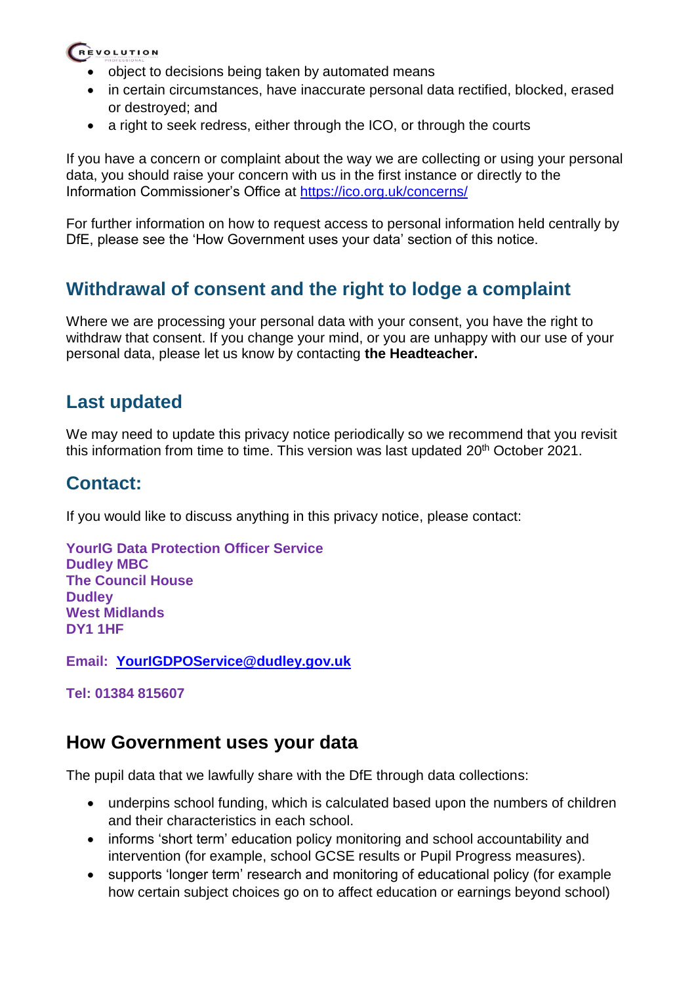- object to decisions being taken by automated means
- in certain circumstances, have inaccurate personal data rectified, blocked, erased or destroyed; and
- a right to seek redress, either through the ICO, or through the courts

If you have a concern or complaint about the way we are collecting or using your personal data, you should raise your concern with us in the first instance or directly to the Information Commissioner's Office at <https://ico.org.uk/concerns/>

For further information on how to request access to personal information held centrally by DfE, please see the 'How Government uses your data' section of this notice.

# **Withdrawal of consent and the right to lodge a complaint**

Where we are processing your personal data with your consent, you have the right to withdraw that consent. If you change your mind, or you are unhappy with our use of your personal data, please let us know by contacting **the Headteacher.**

## **Last updated**

We may need to update this privacy notice periodically so we recommend that you revisit this information from time to time. This version was last updated 20<sup>th</sup> October 2021.

## **Contact:**

If you would like to discuss anything in this privacy notice, please contact:

**YourIG Data Protection Officer Service Dudley MBC The Council House Dudley West Midlands DY1 1HF**

**Email: [YourIGDPOService@dudley.gov.uk](mailto:YourIGDPOService@dudley.gov.uk)**

**Tel: 01384 815607**

## **How Government uses your data**

The pupil data that we lawfully share with the DfE through data collections:

- underpins school funding, which is calculated based upon the numbers of children and their characteristics in each school.
- informs 'short term' education policy monitoring and school accountability and intervention (for example, school GCSE results or Pupil Progress measures).
- supports 'longer term' research and monitoring of educational policy (for example how certain subject choices go on to affect education or earnings beyond school)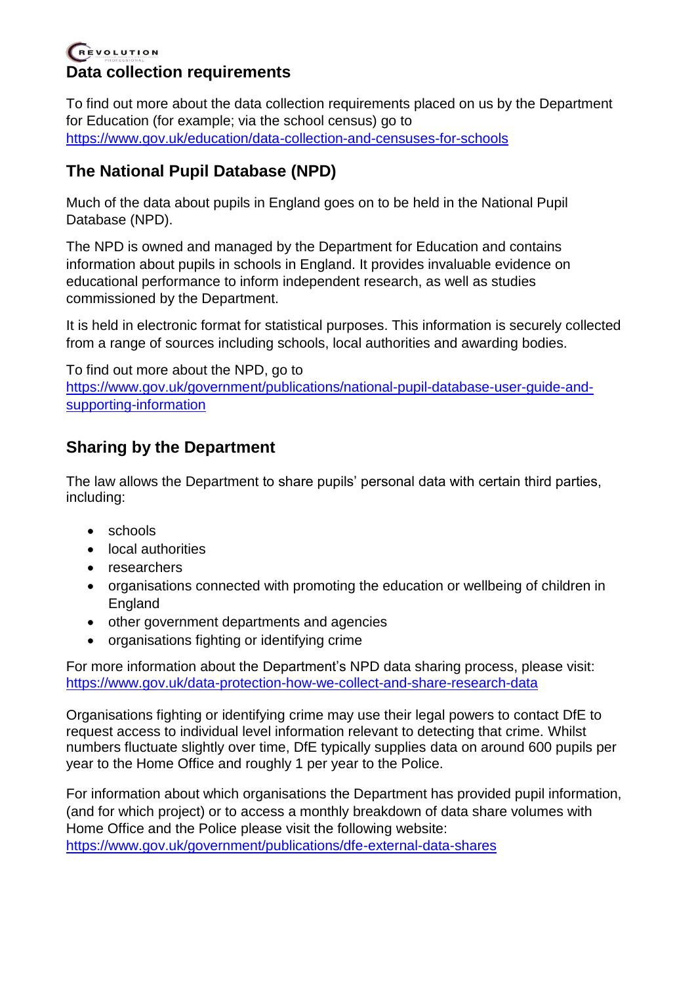### REVOLUTION **Data collection requirements**

To find out more about the data collection requirements placed on us by the Department for Education (for example; via the school census) go to <https://www.gov.uk/education/data-collection-and-censuses-for-schools>

## **The National Pupil Database (NPD)**

Much of the data about pupils in England goes on to be held in the National Pupil Database (NPD).

The NPD is owned and managed by the Department for Education and contains information about pupils in schools in England. It provides invaluable evidence on educational performance to inform independent research, as well as studies commissioned by the Department.

It is held in electronic format for statistical purposes. This information is securely collected from a range of sources including schools, local authorities and awarding bodies.

To find out more about the NPD, go to [https://www.gov.uk/government/publications/national-pupil-database-user-guide-and](https://www.gov.uk/government/publications/national-pupil-database-user-guide-and-supporting-information)[supporting-information](https://www.gov.uk/government/publications/national-pupil-database-user-guide-and-supporting-information)

## **Sharing by the Department**

The law allows the Department to share pupils' personal data with certain third parties, including:

- schools
- local authorities
- researchers
- organisations connected with promoting the education or wellbeing of children in England
- other government departments and agencies
- organisations fighting or identifying crime

For more information about the Department's NPD data sharing process, please visit: <https://www.gov.uk/data-protection-how-we-collect-and-share-research-data>

Organisations fighting or identifying crime may use their legal powers to contact DfE to request access to individual level information relevant to detecting that crime. Whilst numbers fluctuate slightly over time, DfE typically supplies data on around 600 pupils per year to the Home Office and roughly 1 per year to the Police.

For information about which organisations the Department has provided pupil information, (and for which project) or to access a monthly breakdown of data share volumes with Home Office and the Police please visit the following website: <https://www.gov.uk/government/publications/dfe-external-data-shares>